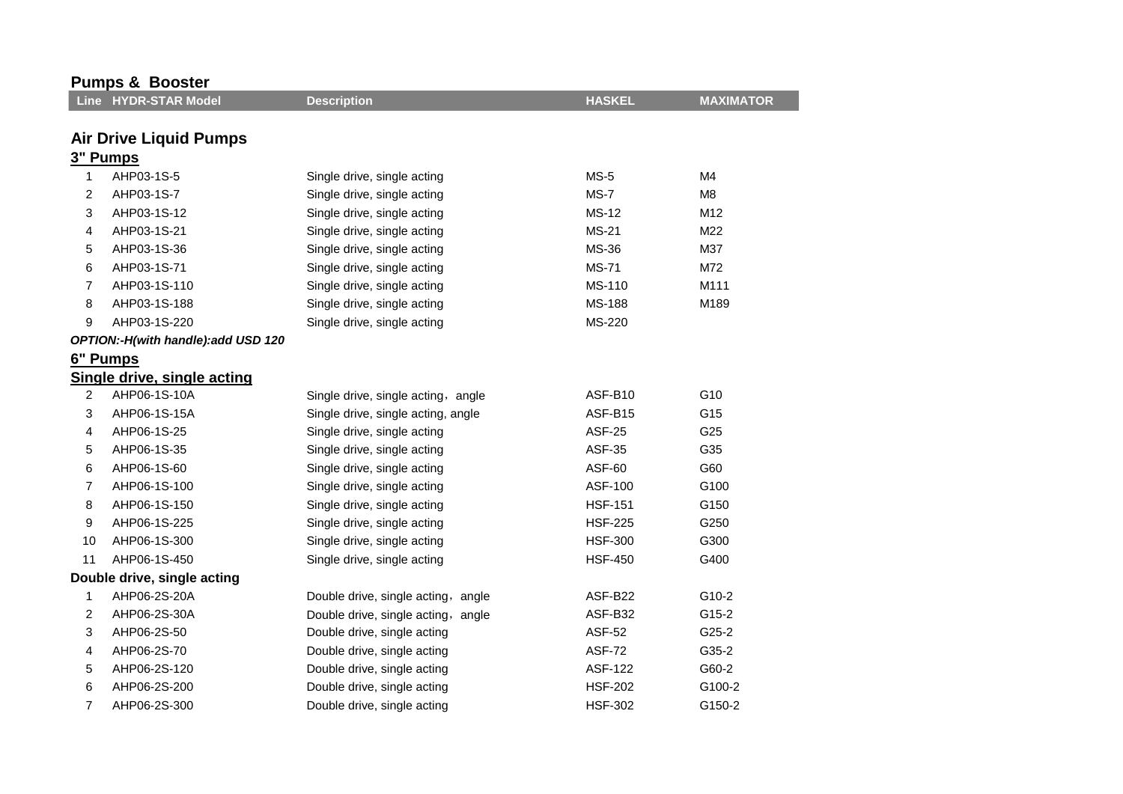| <b>Pumps &amp; Booster</b> |                                    |                                    |                |                  |  |
|----------------------------|------------------------------------|------------------------------------|----------------|------------------|--|
|                            | Line HYDR-STAR Model               | <b>Description</b>                 | <b>HASKEL</b>  | <b>MAXIMATOR</b> |  |
|                            |                                    |                                    |                |                  |  |
|                            | <b>Air Drive Liquid Pumps</b>      |                                    |                |                  |  |
|                            | 3" Pumps                           |                                    |                |                  |  |
| 1                          | AHP03-1S-5                         | Single drive, single acting        | $MS-5$         | M4               |  |
| 2                          | AHP03-1S-7                         | Single drive, single acting        | MS-7           | M8               |  |
| 3                          | AHP03-1S-12                        | Single drive, single acting        | <b>MS-12</b>   | M12              |  |
| 4                          | AHP03-1S-21                        | Single drive, single acting        | <b>MS-21</b>   | M22              |  |
| 5                          | AHP03-1S-36                        | Single drive, single acting        | MS-36          | M37              |  |
| 6                          | AHP03-1S-71                        | Single drive, single acting        | <b>MS-71</b>   | M72              |  |
| $\overline{7}$             | AHP03-1S-110                       | Single drive, single acting        | MS-110         | M111             |  |
| 8                          | AHP03-1S-188                       | Single drive, single acting        | <b>MS-188</b>  | M189             |  |
| 9                          | AHP03-1S-220                       | Single drive, single acting        | MS-220         |                  |  |
|                            | OPTION:-H(with handle):add USD 120 |                                    |                |                  |  |
|                            | 6" Pumps                           |                                    |                |                  |  |
|                            | Single drive, single acting        |                                    |                |                  |  |
| 2                          | AHP06-1S-10A                       | Single drive, single acting, angle | ASF-B10        | G10              |  |
| 3                          | AHP06-1S-15A                       | Single drive, single acting, angle | ASF-B15        | G15              |  |
| 4                          | AHP06-1S-25                        | Single drive, single acting        | <b>ASF-25</b>  | G25              |  |
| 5                          | AHP06-1S-35                        | Single drive, single acting        | ASF-35         | G35              |  |
| 6                          | AHP06-1S-60                        | Single drive, single acting        | <b>ASF-60</b>  | G60              |  |
| 7                          | AHP06-1S-100                       | Single drive, single acting        | ASF-100        | G100             |  |
| 8                          | AHP06-1S-150                       | Single drive, single acting        | <b>HSF-151</b> | G150             |  |
| 9                          | AHP06-1S-225                       | Single drive, single acting        | <b>HSF-225</b> | G250             |  |
| 10                         | AHP06-1S-300                       | Single drive, single acting        | <b>HSF-300</b> | G300             |  |
| 11                         | AHP06-1S-450                       | Single drive, single acting        | <b>HSF-450</b> | G400             |  |
|                            | Double drive, single acting        |                                    |                |                  |  |
| 1                          | AHP06-2S-20A                       | Double drive, single acting, angle | ASF-B22        | G10-2            |  |
| 2                          | AHP06-2S-30A                       | Double drive, single acting, angle | ASF-B32        | G15-2            |  |
| 3                          | AHP06-2S-50                        | Double drive, single acting        | ASF-52         | $G25-2$          |  |
| 4                          | AHP06-2S-70                        | Double drive, single acting        | <b>ASF-72</b>  | G35-2            |  |
| 5                          | AHP06-2S-120                       | Double drive, single acting        | <b>ASF-122</b> | G60-2            |  |
| 6                          | AHP06-2S-200                       | Double drive, single acting        | <b>HSF-202</b> | G100-2           |  |
| 7                          | AHP06-2S-300                       | Double drive, single acting        | <b>HSF-302</b> | G150-2           |  |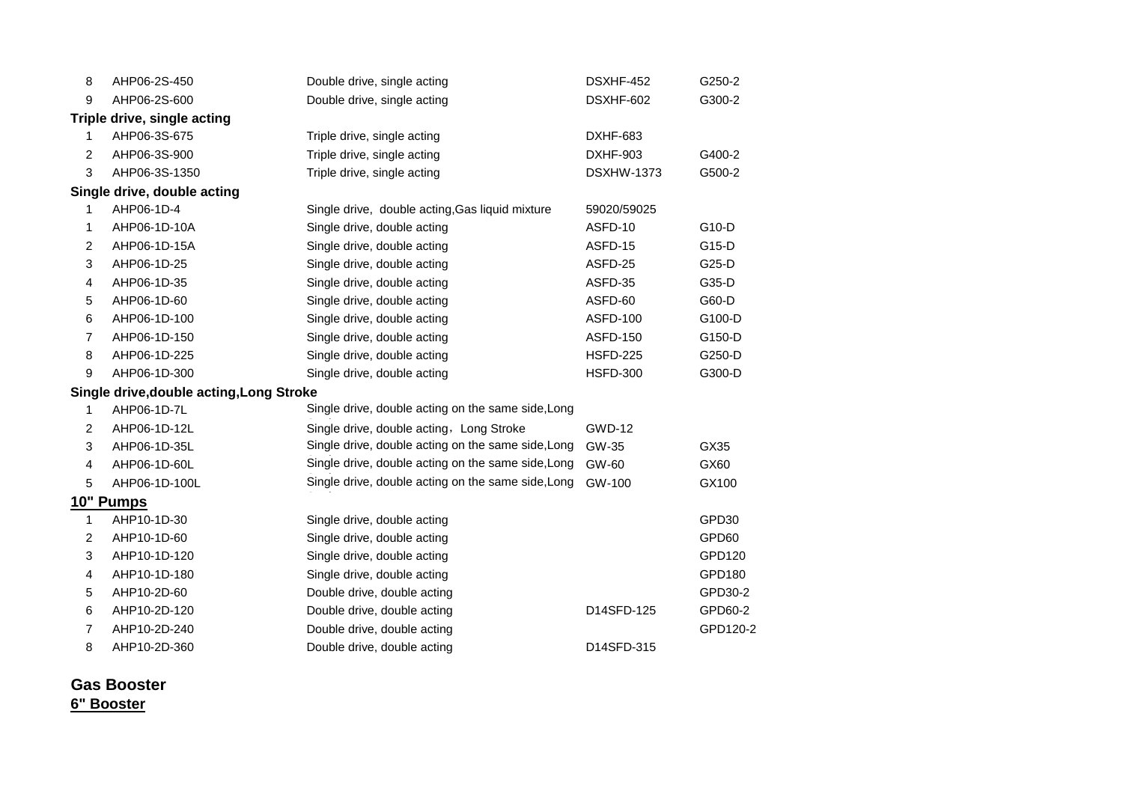| 8                       | AHP06-2S-450                           | Double drive, single acting                        | DSXHF-452         | G250-2   |
|-------------------------|----------------------------------------|----------------------------------------------------|-------------------|----------|
| 9                       | AHP06-2S-600                           | Double drive, single acting                        | DSXHF-602         | G300-2   |
|                         | Triple drive, single acting            |                                                    |                   |          |
| 1                       | AHP06-3S-675                           | Triple drive, single acting                        | DXHF-683          |          |
| $\overline{c}$          | AHP06-3S-900                           | Triple drive, single acting                        | <b>DXHF-903</b>   | G400-2   |
| 3                       | AHP06-3S-1350                          | Triple drive, single acting                        | <b>DSXHW-1373</b> | G500-2   |
|                         | Single drive, double acting            |                                                    |                   |          |
| 1                       | AHP06-1D-4                             | Single drive, double acting, Gas liquid mixture    | 59020/59025       |          |
| 1                       | AHP06-1D-10A                           | Single drive, double acting                        | ASFD-10           | G10-D    |
| $\overline{c}$          | AHP06-1D-15A                           | Single drive, double acting                        | ASFD-15           | G15-D    |
| $\mathbf 3$             | AHP06-1D-25                            | Single drive, double acting                        | ASFD-25           | G25-D    |
| $\overline{\mathbf{4}}$ | AHP06-1D-35                            | Single drive, double acting                        | ASFD-35           | G35-D    |
| $\mathbf 5$             | AHP06-1D-60                            | Single drive, double acting                        | ASFD-60           | G60-D    |
| 6                       | AHP06-1D-100                           | Single drive, double acting                        | <b>ASFD-100</b>   | G100-D   |
| $\overline{7}$          | AHP06-1D-150                           | Single drive, double acting                        | <b>ASFD-150</b>   | G150-D   |
| 8                       | AHP06-1D-225                           | Single drive, double acting                        | <b>HSFD-225</b>   | G250-D   |
| 9                       | AHP06-1D-300                           | Single drive, double acting                        | <b>HSFD-300</b>   | G300-D   |
|                         | Single drive,double acting,Long Stroke |                                                    |                   |          |
| 1                       | AHP06-1D-7L                            | Single drive, double acting on the same side, Long |                   |          |
| $\overline{2}$          | AHP06-1D-12L                           | Single drive, double acting, Long Stroke           | <b>GWD-12</b>     |          |
| 3                       | AHP06-1D-35L                           | Single drive, double acting on the same side, Long | GW-35             | GX35     |
| $\overline{4}$          | AHP06-1D-60L                           | Single drive, double acting on the same side, Long | GW-60             | GX60     |
| 5                       | AHP06-1D-100L                          | Single drive, double acting on the same side, Long | GW-100            | GX100    |
|                         | 10" Pumps                              |                                                    |                   |          |
| $\mathbf{1}$            | AHP10-1D-30                            | Single drive, double acting                        |                   | GPD30    |
| $\overline{c}$          | AHP10-1D-60                            | Single drive, double acting                        |                   | GPD60    |
| 3                       | AHP10-1D-120                           | Single drive, double acting                        |                   | GPD120   |
| 4                       | AHP10-1D-180                           | Single drive, double acting                        |                   | GPD180   |
| 5                       | AHP10-2D-60                            | Double drive, double acting                        |                   | GPD30-2  |
| 6                       | AHP10-2D-120                           | Double drive, double acting                        | D14SFD-125        | GPD60-2  |
| 7                       | AHP10-2D-240                           | Double drive, double acting                        |                   | GPD120-2 |
| 8                       | AHP10-2D-360                           | Double drive, double acting                        | D14SFD-315        |          |
|                         |                                        |                                                    |                   |          |

**Gas Booster 6" Booster**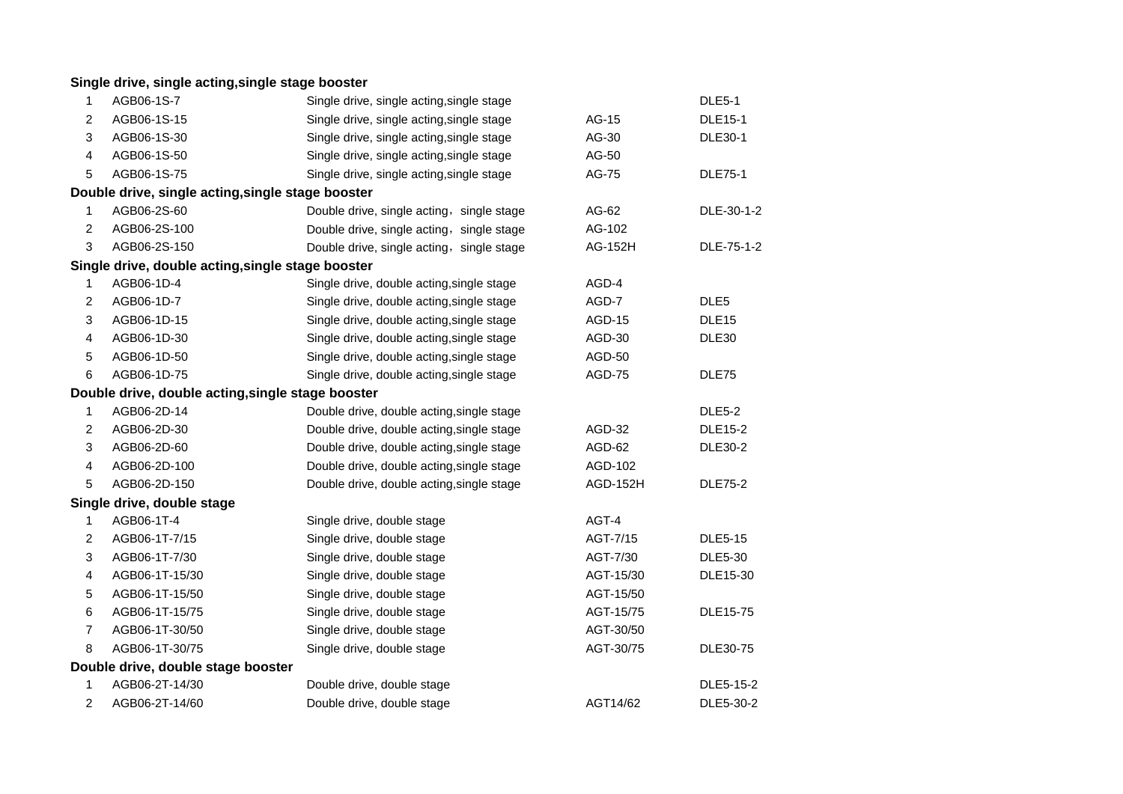|                | Single drive, single acting, single stage booster |                                           |                 |                   |
|----------------|---------------------------------------------------|-------------------------------------------|-----------------|-------------------|
| 1              | AGB06-1S-7                                        | Single drive, single acting, single stage |                 | <b>DLE5-1</b>     |
| $\overline{2}$ | AGB06-1S-15                                       | Single drive, single acting, single stage | AG-15           | <b>DLE15-1</b>    |
| 3              | AGB06-1S-30                                       | Single drive, single acting, single stage | AG-30           | <b>DLE30-1</b>    |
| 4              | AGB06-1S-50                                       | Single drive, single acting, single stage | AG-50           |                   |
| 5              | AGB06-1S-75                                       | Single drive, single acting, single stage | AG-75           | <b>DLE75-1</b>    |
|                | Double drive, single acting, single stage booster |                                           |                 |                   |
| 1              | AGB06-2S-60                                       | Double drive, single acting, single stage | AG-62           | DLE-30-1-2        |
| 2              | AGB06-2S-100                                      | Double drive, single acting, single stage | AG-102          |                   |
| 3              | AGB06-2S-150                                      | Double drive, single acting, single stage | AG-152H         | DLE-75-1-2        |
|                | Single drive, double acting, single stage booster |                                           |                 |                   |
| 1              | AGB06-1D-4                                        | Single drive, double acting, single stage | AGD-4           |                   |
| 2              | AGB06-1D-7                                        | Single drive, double acting, single stage | AGD-7           | DLE <sub>5</sub>  |
| 3              | AGB06-1D-15                                       | Single drive, double acting, single stage | AGD-15          | DLE <sub>15</sub> |
| 4              | AGB06-1D-30                                       | Single drive, double acting, single stage | AGD-30          | DLE30             |
| 5              | AGB06-1D-50                                       | Single drive, double acting, single stage | AGD-50          |                   |
| 6              | AGB06-1D-75                                       | Single drive, double acting, single stage | AGD-75          | DLE75             |
|                | Double drive, double acting, single stage booster |                                           |                 |                   |
| 1              | AGB06-2D-14                                       | Double drive, double acting, single stage |                 | <b>DLE5-2</b>     |
| 2              | AGB06-2D-30                                       | Double drive, double acting, single stage | AGD-32          | <b>DLE15-2</b>    |
| 3              | AGB06-2D-60                                       | Double drive, double acting, single stage | AGD-62          | <b>DLE30-2</b>    |
| 4              | AGB06-2D-100                                      | Double drive, double acting, single stage | AGD-102         |                   |
| 5              | AGB06-2D-150                                      | Double drive, double acting, single stage | <b>AGD-152H</b> | <b>DLE75-2</b>    |
|                | Single drive, double stage                        |                                           |                 |                   |
| 1              | AGB06-1T-4                                        | Single drive, double stage                | AGT-4           |                   |
| 2              | AGB06-1T-7/15                                     | Single drive, double stage                | AGT-7/15        | <b>DLE5-15</b>    |
| 3              | AGB06-1T-7/30                                     | Single drive, double stage                | AGT-7/30        | <b>DLE5-30</b>    |
| 4              | AGB06-1T-15/30                                    | Single drive, double stage                | AGT-15/30       | DLE15-30          |
| 5              | AGB06-1T-15/50                                    | Single drive, double stage                | AGT-15/50       |                   |
| 6              | AGB06-1T-15/75                                    | Single drive, double stage                | AGT-15/75       | <b>DLE15-75</b>   |
| 7              | AGB06-1T-30/50                                    | Single drive, double stage                | AGT-30/50       |                   |
| 8              | AGB06-1T-30/75                                    | Single drive, double stage                | AGT-30/75       | DLE30-75          |
|                | Double drive, double stage booster                |                                           |                 |                   |
| 1              | AGB06-2T-14/30                                    | Double drive, double stage                |                 | DLE5-15-2         |
| 2              | AGB06-2T-14/60                                    | Double drive, double stage                | AGT14/62        | DLE5-30-2         |